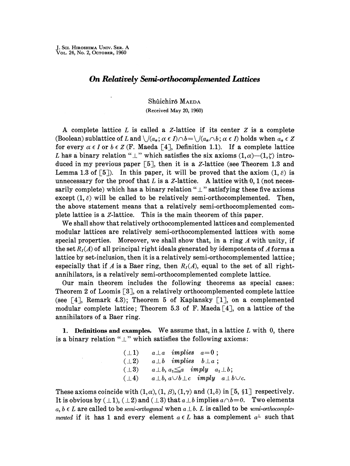## **On** *Relatively Semi.-ortlwcomplemented Lattices*

Shûichirô MAEDA

(Received May 20, 1960)

A complete lattice *L* is called a Z-lattice if its center *z* is a complete (Boolean) sublattice of L and  $\bigcup (a_{\alpha}; \alpha \in I) \cap b=\bigcup (a_{\alpha} \cap b; \alpha \in I)$  holds when  $a_{\alpha} \in Z$ for every  $\alpha \in I$  or  $b \in Z$  (F. Maeda [4], Definition 1.1). If a complete lattice L has a binary relation " $\perp$ " which satisfies the six axioms  $(1,\alpha)$ - $(1,\zeta)$  introduced in my previous paper  $\lceil 5 \rceil$ , then it is a *Z*-lattice (see Theorem 1.3 and Lemma 1.3 of [5]). In this paper, it will be proved that the axiom  $(1, \varepsilon)$  is unnecessary for the proof that L is a Z-lattice. A lattice with  $0, 1$  (not necessarily complete) which has a binary relation " $\perp$ " satisfying these five axioms except  $(1, \varepsilon)$  will be called to be relatively semi-orthocomplemented. Then, the above statement means that a relatively semi-orthocomplemented complete lattice is a Z-lattice. This is the main theorem of this paper.

We shall show that relatively orthocomplemented lattices and complemented modular lattices are relatively semi-orthocomplemented lattices with some special properties. Moreover, we shall show that, in a ring  $\Lambda$  with unity, if the set  $R_I(A)$  of all principal right ideals generated by idempotents of A forms a lattice by set-inclusion, then it is a relatively semi-orthocomplemented lattice; especially that if A is a Baer ring, then  $R_I(A)$ , equal to the set of all rightannihilators, is **a** relatively semi-orthocomplemented complete lattice.

Our main theorem includes the following theorems as special cases: Theorem 2 of Loomis [3], on a relatively orthocomplemented complete lattice (see  $\lceil 4 \rceil$ , Remark 4.3); Theorem 5 of Kaplansky  $\lceil 1 \rceil$ , on a complemented modular complete lattice; Theorem 5.3 of F. Maeda  $[4]$ , on a lattice of the annihilators of a Baer ring.

I. **Definitions and examples.** We assume that, in a lattice *L* with 0, there is a binary relation " $\perp$ " which satisfies the following axioms:

| $(\perp 1)$ | $a \perp a$ implies $a=0$ ;                                 |
|-------------|-------------------------------------------------------------|
| $(\perp 2)$ | $a \perp b$ implies $b \perp a$ ;                           |
| $(\perp 3)$ | $a \perp b$ , $a_1 \leq a$ imply $a_1 \perp b$ ;            |
| $(\perp 4)$ | $a \perp b$ , $a \cup b \perp c$ imply $a \perp b \cup c$ . |

These axioms coincide with  $(1,\alpha)$ ,  $(1,\beta)$ ,  $(1,\gamma)$  and  $(1,\delta)$  in [5, §1] respectively. It is obvious by  $(\perp 1)$ ,  $(\perp 2)$  and  $(\perp 3)$  that  $a \perp b$  implies  $a \wedge b = 0$ . Two elements  $a, b \in L$  are called to be *semi-orthogonal* when  $a \perp b$ . L is called to be *semi-orthocomplemented* if it has 1 and every element  $a \in L$  has a complement  $a^{\perp}$  such that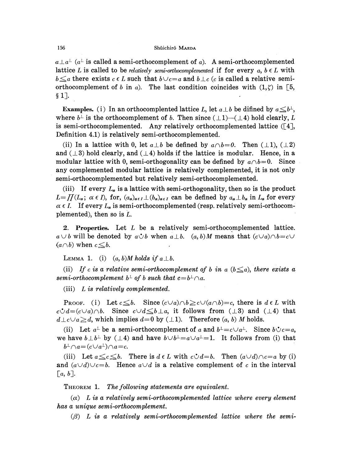$a \perp a^{\perp}$  ( $a^{\perp}$  is called a semi-orthocomplement of *a*). A semi-orthocomplemented lattice *L* is called to be *relatively semi-orthocomplemented* if for every  $a, b \in L$  with *b* $\leq a$  there exists *c*  $\epsilon$  *L* such that  $b \vee c = a$  and  $b \perp c$  (*c* is called a relative semiorthocomplement of *b* in *a*). The last condition coincides with  $(1,\zeta)$  in [5, § 1].

**Examples.** (i) In an orthocomplented lattice *L*, let  $a \perp b$  be difined by  $a \leq b^{\perp}$ , where  $b^{\perp}$  is the orthocomplement of *b*. Then since  $(\perp 1)$ - $(\perp 4)$  hold clearly, *L* is semi-orthocomplemented. Any relatively orthocomplemented lattice  $([4],$ Definition 4.1) is relatively semi-orthocomplemented.

(ii) In a lattice with 0, let  $a \perp b$  be defined by  $a \wedge b = 0$ . Then  $(\perp 1)$ ,  $(\perp 2)$ and ( $\perp$ 3) hold clearly, and ( $\perp$ 4) holds if the lattice is modular. Hence, in a modular lattice with 0, semi-orthogonality can be defined by  $a \wedge b = 0$ . Since any complemented modular lattice is relatively complemented, it is not only semi-orthocomplemented but relatively semi-orthocomplemented.

(iii) If every  $L_{\alpha}$  is a lattice with semi-orthogonality, then so is the product  $L = \prod (L_{\alpha}; \alpha \in I)$ , for,  $(a_{\alpha})_{\alpha \in I} \perp (b_{\alpha})_{\alpha \in I}$  can be defined by  $a_{\alpha} \perp b_{\alpha}$  in  $L_{\alpha}$  for every  $\alpha \in I$ . If every  $L_{\alpha}$  is semi-orthocomplemented (resp. relatively semi-orthocomplemented), then so is  $L$ .

2. Properties. Let *L* be a relatively semi-orthocomplemented lattice.  $a \cup b$  will be denoted by  $a \dot{\cup} b$  when  $a \perp b$ .  $(a, b)M$  means that  $(c \vee a) \wedge b = c \vee b$  $(a \cap b)$  when  $c \leq b$ .

LEMMA 1. (i)  $(a, b)M$  holds if  $a \perp b$ .

(ii) If c is a relative semi-orthocomplement of b in a  $(b \le a)$ , there exists a *semi-orthocomplement*  $b^{\perp}$  of b such that  $c = b^{\perp} \cap a$ .

(iii) *L is relatively complemented.* 

**PROOF.** (i) Let  $c \leq b$ . Since  $(c \vee a) \wedge b \geq c \vee (a \wedge b) = c$ , there is  $d \in L$  with  $c \mathcal{C}d = (c \vee a) \wedge b$ . Since  $c \vee d \leq b \perp a$ , it follows from  $( \perp 3)$  and  $( \perp 4)$  that  $d\llcorner c\cup a\geq d$ , which implies  $d=0$  by  $(\perp 1)$ . Therefore  $(a, b)$  *M* holds.

(ii) Let  $a^{\perp}$  be a semi-orthocomplement of a and  $b^{\perp} = c \cup a^{\perp}$ . Since  $b \circ c = a$ , we have  $b \perp b^{\perp}$  by ( $\perp 4$ ) and have  $b \vee b^{\perp} = a \vee a^{\perp} = 1$ . It follows from (i) that  $b^{\perp} \cap a = (c \cup a^{\perp}) \cap a = c$ .

(iii) Let  $a \leq c \leq b$ . There is  $d \in L$  with  $c \mathcal{A} = b$ . Then  $(a \cup d) \cap c = a$  by (i) and  $(a\vee d)\vee c=b$ . Hence  $a\vee d$  is a relative complement of *c* in the interval  $[a, b].$ 

THEOREM 1. *The fallowing statements are equivalent.* 

*(a) Lis a relatively semi-orthocomplemented lattice where every element has a unique semi-orthocomplement.* 

*((3) L is a relatively semi-orthocomplemented lattice where the semi-*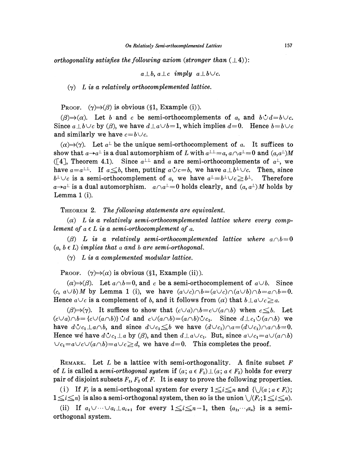*orthogonality satisfies the following axiom (stronger than*  $(\perp 4)$ *):* 

$$
a \perp b, a \perp c \implies a \perp b \cup c.
$$

 $(\gamma)$  *L* is a relatively orthocomplemented lattice.

PROOF.  $(\gamma) \Rightarrow (\beta)$  is obvious (§1, Example (i)).

 $(\beta) \rightarrow (\alpha)$ . Let *b* and *c* be semi-orthocomplements of *a*, and *bi*d=*bVc*. Since  $a \perp b \vee c$  by ( $\beta$ ), we have  $d \perp a \vee b=1$ , which implies  $d=0$ . Hence  $b=b\vee c$ and similarly we have  $c = b \vee c$ .

 $(\alpha) \rightarrow (\gamma)$ . Let  $a^{\perp}$  be the unique semi-orthocomplement of a. It suffices to show that  $a \rightarrow a^{\perp}$  is a dual automorphism of *L* with  $a^{\perp \perp} = a$ ,  $a \wedge a^{\perp} = 0$  and  $(a, a^{\perp})M$ ([4], Theorem 4.1). Since  $a^{\perp\perp}$  and *a* are semi-orthocomplements of  $a^{\perp}$ , we have  $a=a^{\perp\perp}$ . If  $a\leq b$ , then, putting  $a\dot{\vee}c=b$ , we have  $a\perp b^{\perp}\vee c$ . Then, since  $b^{\perp} \cup c$  is a semi-orthocomplement of *a*, we have  $a^{\perp} = b^{\perp} \cup c \geq b^{\perp}$ . Therefore  $a \rightarrow a^{\perp}$  is a dual automorphism.  $a \wedge a^{\perp} = 0$  holds clearly, and  $(a, a^{\perp})M$  holds by Lemma 1 (i).

THEOREM 2. *The following statements are equivalent.* 

*(a) Lis a relatively semi-orthocomplemented lattice where every complement of*  $a \in L$  *is a semi-orthocomplement of a.* 

( $\beta$ *)* L is a relatively semi-orthocomplemented lattice where  $a \wedge b = 0$  $(a, b \in L)$  implies that a and b are semi-orthogonal.

(ry) *Lis a complemented modular lattice.* 

PROOF.  $(\gamma) \Rightarrow (\alpha)$  is obvious (§1, Example (ii)).

 $(\alpha) \Rightarrow (\beta)$ . Let  $a \wedge b = 0$ , and *c* be a semi-orthocomplement of  $a \vee b$ . Since  $(c, a \cup b)$  *M* by Lemma 1 (i), we have  $(a \cup c) \cap b = (a \cup c) \cap (a \cup b) \cap b = a \cap b = 0$ . Hence  $a \cup c$  is a complement of *b*, and it follows from ( $\alpha$ ) that  $b \perp a \cup c \ge a$ .

 $(\beta) \Rightarrow (\gamma)$ . It suffices to show that  $(c \lor a) \land b = c \lor (a \land b)$  when  $c \leq b$ . Let  $(c\vee a)\wedge b = \{c\vee (a\wedge b)\}\cup d$  and  $c\vee (a\wedge b)=(a\wedge b)\cup c_1$ . Since  $d\perp c_1\cup (a\wedge b)$  we have  $d\dot{\vee}c_1\perp a\wedge b$ , and since  $d\vee c_1 \leq b$  we have  $(d\vee c_1)\wedge a=(d\vee c_1)\wedge a\wedge b=0$ . Hence we have  $d\mathcal{C}c_1 \perp a$  by ( $\beta$ ), and then  $d\mathcal{L}a\cup c_1$ . But, since  $a\mathcal{C}c_1=a\mathcal{C}(a\cap b)$  $\bigcup c_1=a\bigcup c\bigcup (a\bigcap b\big)=a\bigcup c\geq d$ , we have  $d=0$ . This completes the proof.

REMARK. Let  $L$  be a lattice with semi-orthogonality. A finite subset  $F$ of L is called a *semi-orthogonal system* if  $(a; a \in F_1) \perp (a; a \in F_2)$  holds for every pair of disjoint subsets  $F_1, F_2$  of F. It is easy to prove the following properties.

(i) If  $F_i$  is a semi-orthogonal system for every  $1 \leq i \leq n$  and  $\{\setminus/((a \,;\, a \in F_i))\}$  $1 \leq i \leq n$  is also a semi-orthogonal system, then so is the union  $\bigcup (F_i; 1 \leq i \leq n)$ .

(ii) If  $a_1 \cup \cdots \cup a_i \perp a_{i+1}$  for every  $1 \leq i \leq n-1$ , then  $\{a_1, \cdots, a_n\}$  is a semiorthogonal system.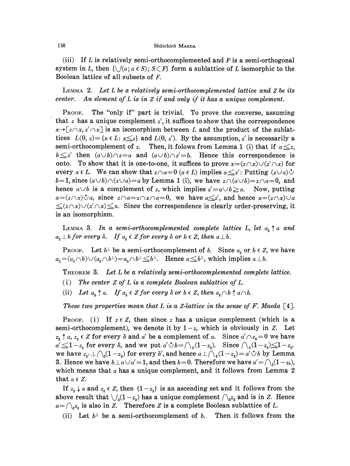(iii) If Lis relatively semi-orthocomplemented and *Fis* a semi-orthogonal system in L, then  $\{\bigcup (a; a \in S); S \subset F\}$  form a sublattice of L isomorphic to the Boolean lattice of all subsets of F.

LEMMA 2. *Let L be a relatively semi-orthocomplemented lattice and Z be its center. An element of Lis in Zif and only if it has a unique complement.* 

PROOF. The "only if" part is trivial. To prove the converse, assuming that *z* has a unique complement *z',* it suffices to show that the correspondence  $x \rightarrow [z \wedge x, z' \wedge x]$  is an isomorphism between *L* and the product of the sublattices  $L(0, z) = \{x \in L : x \leq z\}$  and  $L(0, z')$ . By the assumption, *z'* is necessarily a semi-orthocomplement of *z*. Then, it folows from Lemma 1 (i) that if  $a \leq z$ ,  $b \leq z'$  then  $(a \cup b) \cap z = a$  and  $(a \cup b) \cap z' = b$ . Hence this correspondence is onto. To show that it is one-to-one, it suffices to prove  $x = (z \wedge x) \vee (z' \wedge x)$  for every  $x \in L$ . We can show that  $z \cap a = 0$  ( $a \in L$ ) implies  $a \leq z'$ : Putting  $(z \cup a) \cup$  $b=1$ , since  $(a\cup b)\cap(z\cup a)=a$  by Lemma 1 (i), we have  $z\cap(a\cup b)=z\cap a=0$ , and hence  $a \cup b$  is a complement of *z*, which implies  $z' = a \cup b \ge a$ . Now, putting  $x=(z\wedge x)\mathcal{O}a$ , since  $z\wedge a=z\wedge x\wedge a=0$ , we have  $a\leq z'$ , and hence  $x=(z\wedge x)\vee a$  $\leq (z \wedge x) \vee (z' \wedge x) \leq x$ . Since the correspondence is clearly order-preserving, it is an isomorphism.

LEMMA 3. In a semi-orthocomplemented complete lattice L, let  $a_8 \uparrow a$  and  $a_8 \perp b$  *for every*  $\delta$ . *If*  $a_8 \in \mathbb{Z}$  *for every*  $\delta$  *or*  $b \in \mathbb{Z}$ *, then*  $a \perp b$ *.* 

PROOF. Let  $b^{\perp}$  be a semi-orthocomplement of *b*. Since  $a_8$  or  $b \in Z$ , we have  $a_8 = (a_8 \cap b) \cup (a_8 \cap b^{\perp}) = a_8 \cap b^{\perp} \leq b^{\perp}$ . Hence  $a \leq b^{\perp}$ , which implies  $a \perp b$ .

THEOREM 3. *Let L be a relatively semi-orthocomplemented complete lattice.* 

- ( i) *The center Z of L is a complete Boolean sublattice of L.*
- (ii) Let  $a_{s} \uparrow a$ . If  $a_{s} \in \mathbb{Z}$  for every  $\delta$  or  $b \in \mathbb{Z}$ , then  $a_{s} \cap b \uparrow a \cap b$ .

*These two properties mean that L is a Z-lattice in the sense of* F. *Maeda* [ 4].

PROOF. (i) If  $z \in Z$ , then since z has a unique complement (which is a semi-orthocomplement), we denote it by  $1-z$ , which is obviously in Z. Let  $z_8 \uparrow a$ ,  $z_8 \in Z$  for every  $\delta$  and  $a'$  be a complement of  $a$ . Since  $a' \wedge z_8 = 0$  we have  $a' \leq 1-z_{\delta}$  for every  $\delta$ , and we put  $a' \circ b = \bigcap_{\delta} (1-z_{\delta})$ . Since  $\bigcap_{\delta} (1-z_{\delta}) \leq 1-z_{\delta'}$ we have  $z_{\delta'} \perp \bigcap_{\delta} (1-z_{\delta})$  for every  $\delta'$ , and hence  $a \perp \bigcap_{\delta} (1-z_{\delta}) = a' \circ b$  by Lemma 3. Hence we have  $b\_{a}\cup a'=1$ , and then  $b=0$ . Therefore we have  $a'=\bigcap_{\lambda}(1-z_{\delta}),$ which means that *a* has a unique complement, and it follows from Lemma 2 that  $a \in \mathbb{Z}$ .

If  $z_6 \downarrow a$  and  $z_6 \in \mathbb{Z}$ , then  $\{1-z_6\}$  is an ascending set and it follows from the above result that  $\bigcup_{\delta}(1-z_{\delta})$  has a unique complement  $\bigcap_{\delta} z_{\delta}$  and is in Z. Hence  $a = \bigcap_{\delta} z_{\delta}$  is also in *Z*. Therefore *Z* is a complete Boolean sublattice of *L*.

(ii) Let  $b^{\perp}$  be a semi-orthocomplement of b. Then it follows from the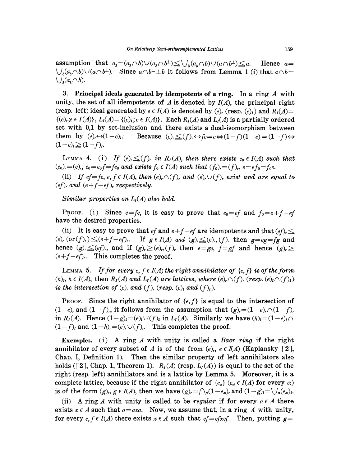assumption that  $a_8 = (a_8 \wedge b) \vee (a_8 \wedge b^{\perp}) \leq \bigvee_8 (a_8 \wedge b) \vee (a \wedge b^{\perp}) \leq a$ . Hence  $a=$  $\bigvee_{s}(a_{s} \cap b) \cup (a \cap b^{\perp}).$  Since  $a \cap b^{\perp} \perp b$  it follows from Lemma 1 (i) that  $a \cap b =$  $\bigvee_{\delta} (a_{\delta} \cap b).$ 

3. Principal ideals generated by idempotents of a ring. In a ring  $A$  with unity, the set of all idempotents of  $A$  is denoted by  $I(A)$ , the principal right (resp. left) ideal generated by  $e \in I(A)$  is denoted by  $(e)$ , (resp.  $(e)$ ) and  $R_I(A)$ =  $\{(e), i \in I(\Lambda)\}\$ ,  $L_I(A) = \{(e), i \in I(A)\}\$ . Each  $R_I(A)$  and  $L_I(A)$  is a partially ordered set with 0,1 by set-inclusion and there exists a dual-isomorphism between them by  $(e) \leftrightarrow (1-e)$ . Because  $(e) \leq (f) \Leftrightarrow fe = e \Leftrightarrow (1-f)(1-e) = (1-f) \Leftrightarrow$  $(1-e)<sub>l</sub> \ge (1-f)<sub>l</sub>.$ 

LEMMA 4. (i) If  $(e) \leq (f)$ , in  $R_I(A)$ , then there exists  $e_0 \in I(A)$  such that  $(e_0) = (e_0)$ ,  $e_0 = e_0 f = fe_0$  and exists  $f_0 \in I(A)$  such that  $(f_0) = (f)$ ,  $e = ef_0 = f_0 e$ .

(ii) *If ef*=fe, e, f  $\epsilon$  *I(A), then* (e),  $\cap$ (f), and (e),  $\cup$ (f), exist and are equal to  $(e<sub>f</sub>)<sub>r</sub>$  and  $(e + f - ef)$ , respectively.

*Similar properties on L<sub>I</sub>(A) also hold.* 

PROOF. (i) Since  $e = fe$ , it is easy to prove that  $e_0 = ef$  and  $f_0 = e + f - ef$ have the desired properties.

(ii) It is easy to prove that *ef* and  $e+f-ef$  are idempotents and that  $(ef)$ ,  $\leq$  $(e), (or(f),)\leq (e+f-ef),$ . If  $g\in I(A)$  and  $(g),\leq (e), (f)$ , then  $g=eg=fg$  and hence  $(g)$ ,  $\leq (ef)$ , and if  $(g)$ ,  $\geq (e)$ ,  $(f)$ , then  $e = ge$ ,  $f = gf$  and hence  $(g)$ ,  $\geq$  $(e+f-ef)$ . This completes the proof.

LEMMA 5. *If for every e, f*  $\in$  *I(A) the right annihilator of*  $\{e,f\}$  *is of the form*  $(h)$ <sub>i</sub>,  $h \in I(A)$ , then  $R_I(A)$  and  $L_I(A)$  are lattices, where  $(e)$ ,  $\cap$   $(f)$ ,  $(resp. (e)$ <sub>i</sub> $\cap$  $(f)$ <sub>i</sub>) *is the intersection of (e), and (f), (resp.*  $(e)$  *<i>and (f)*,).

PROOF. Since the right annihilator of  $\{e, f\}$  is equal to the intersection of  $(1-e)$ , and  $(1-f)$ , it follows from the assumption that  $(g)$ <sub>r</sub> =  $(1-e)$ ,  $\bigcap (1-f)$ , in *R<sub>1</sub>(A)*. Hence  $(1-g)_i = (e)_i \cup (f)_i$  in *L<sub>1</sub>(A)*. Similarly we have  $(h)_i = (1-e)_i \cap$  $(1-f)_l$  and  $(1-h)_r = (e)_r \cup (f)_r$ . This completes the proof.

**Exemples.** ( i) A ring *A* with unity is called a *Baer ring* if the right annihilator of every subset of A is of the from  $(e_i, e \in I(A))$  (Kaplansky [2], Chap. I, Definition 1). Then the similar property of left annihilators also holds ([2], Chap. 1, Theorem 1).  $R_I(A)$  (resp.  $L_I(A)$ ) is equal to the set of the right (resp. left) annihilators and is a lattice by Lemma 5. Moreover, it is a complete lattice, because if the right annihilator of  ${e_a}$  ( $e_a \in I(A)$  for every  $\alpha$ ) is of the form  $(g)$ ,,  $g \in I(A)$ , then we have  $(g)$ ,  $= \bigcap_{\alpha} (1-e_{\alpha})$ , and  $(1-g)$ <sub>i</sub> $= \bigcup_{\alpha} (e_{\alpha})$ <sub>i</sub>.

(ii) A ring A with unity is called to be *regular* if for every  $a \in A$  there exists  $x \in A$  such that  $a = axa$ . Now, we assume that, in a ring A with unity, for every  $e, f \in I(A)$  there exists  $x \in A$  such that  $ef = ef xef$ . Then, putting  $g =$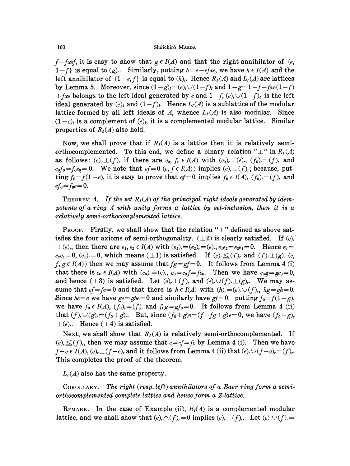$f - f \text{ref}$ , it is easy to show that  $g \in I(A)$  and that the right annihilator of {e,  $1-f$  is equal to  $(g)$ . Similarly, putting  $h=e-efxe$ , we have  $h \in I(A)$  and the left annihilator of  $\{1-e,f\}$  is equal to  $(h)_l$ . Hence  $R_I(A)$  and  $L_I(A)$  are lattices by Lemma 5. Moreover, since  $(1-g)_i = (e)_i \cup (1-f)_i$  and  $1-g=1-f-fxe(1-f)$  $+fxe$  belongs to the left ideal generated by *e* and  $1-f$ ,  $(e)$ ,  $\cup (1-f)$ , is the left ideal generated by  $(e)$  and  $(1-f)$ . Hence  $L<sub>I</sub>(A)$  is a sublattice of the modular lattice formed by all left ideals of A, whence  $L_I(A)$  is also modular. Since  $(1-e)$ <sub>i</sub> is a complement of  $(e)$ , it is a complemented modular lattice. Similar properties of  $R<sub>I</sub>(A)$  also hold.

Now, we shall prove that if  $R<sub>I</sub>(A)$  is a lattice then it is relatively semiorthocomplemented. To this end, we define a binary relation " $\perp$ " in  $R_I(A)$ as follows:  $(e)$ ,  $\perp$  (f), if there are  $e_0$ ,  $f_0 \in I(A)$  with  $(e_0)$ , =(e),,  $(f_0)$ , =(f), and  $e_0f_0=f_0e_0=0$ . We note that  $ef=0$   $(e, f \in I(A))$  implies  $(e), \perp(f),$ ; because, putting  $f_0 = f(1-e)$ , it is easy to prove that  $ef=0$  implies  $f_0 \in I(A)$ ,  $(f_0) = (f)$ , and  $ef_0 = f_0 e = 0.$ 

THEOREM 4. If the set  $R<sub>I</sub>(A)$  of the principal right ideals generated by idem*potents of a ring A with unity forms a lattice by set-inclusion, then it is a -relatively semi-orthocomplemented lattice.* 

PROOF. Firstly, we shall show that the relation " $\perp$ " defined as above satisfies the four axioms of semi-orthogonality.  $(\perp 2)$  is clearly satisfied. If  $(e)$ ,  $\perp$  (e)<sub>r</sub>, then there are  $e_1, e_2 \in I(A)$  with  $(e_1)$ , =(e<sub>2</sub>), =(e)<sub>r</sub>, e<sub>1</sub>e<sub>2</sub>=e<sub>2</sub>e<sub>1</sub>=0. Hence  $e_1$ =  $e_2e_1=0$ ,  $(e_1)=0$ , which means  $(\perp 1)$  is satisfied. If  $(e)\leq(f)$ , and  $(f)$ ,  $\perp(g)$ ,  $(e,$  $f, g \in I(A)$ ) then we may assume that  $fg=gf=0$ . It follows from Lemma 4 (i) that there is  $e_0 \in I(A)$  with  $(e_0) = (e)$ ,,  $e_0 = e_0 f = fe_0$ . Then we have  $e_0 g = g e_0 = 0$ , and hence  $(\perp 3)$  is satisfied. Let  $(e), \perp (f)$ , and  $(e), \cup (f), \perp (g)$ . We may assume that  $ef = fe = 0$  and that there is  $h \in I(A)$  with  $(h) = (e), \cup (f),$ ,  $hg = gh = 0$ . Since  $he=e$  we have  $ge=ghe=0$  and similarly have  $gf=0$ . putting  $f_0=f(1-g)$ , we have  $f_0 \in I(A)$ ,  $(f_0) = (f)$ , and  $f_0g = gf_0 = 0$ . It follows from Lemma 4 (ii) that  $(f)$ ,  $\cup$   $(g)$ , =  $(f_0+g)$ ,. But, since  $(f_0+g)e=(f-fg+g)e=0$ , we have  $(f_0+g)$ ,  $\perp (e)$ . Hence  $(\perp 4)$  is satisfied.

Next, we shall show that  $R_I(A)$  is relatively semi-orthocomplemented. If  $(e)$ ,  $\leq$  (*f*),, then we may assume that  $e=ef=fe$  by Lemma 4 (i). Then we have  $f-e \in I(A), (e), \perp (f-e),$  and it follows from Lemma 4 (ii) that  $(e), \vee (f-e)=f$ . This completes the proof of the theorem.

 $L_I(A)$  also has the same property.

CoROLLARY. *The right (resp. left) annihilators of a Baer ring form a semi- -orthocomplemented complete lattice and hence form a Z-lattice.* 

REMARK. In the case of Example (ii),  $R_I(A)$  is a complemented modular lattice, and we shall show that  $(e)$ ,  $\cap$   $(f)$ ,  $=0$  implies  $(e)$ ,  $\cup$   $(f)$ ,. Let  $(e)$ ,  $\cup$   $(f)$ ,  $=$